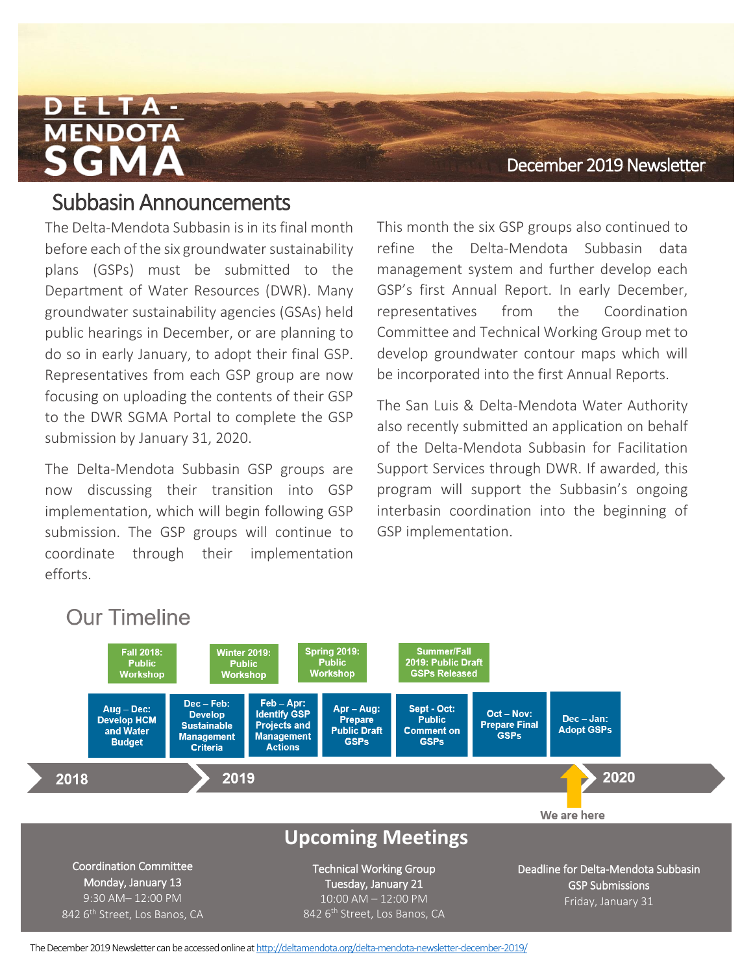### December 2019 Newsletter

## **Fall 2018** Subbasin Announcements

The Delta-Mendota Subbasin is in its final month before each of the six groundwater sustainability plans (GSPs) must be submitted to the Department of Water Resources (DWR). Many groundwater sustainability agencies (GSAs) held public hearings in December, or are planning to do so in early January, to adopt their final GSP. Representatives from each GSP group are now focusing on uploading the contents of their GSP to the DWR SGMA Portal to complete the GSP submission by January 31, 2020.

The Delta-Mendota Subbasin GSP groups are now discussing their transition into GSP implementation, which will begin following GSP submission. The GSP groups will continue to coordinate through their implementation efforts.

This month the six GSP groups also continued to refine the Delta-Mendota Subbasin data management system and further develop each GSP's first Annual Report. In early December, representatives from the Coordination Committee and Technical Working Group met to develop groundwater contour maps which will be incorporated into the first Annual Reports.

The San Luis & Delta-Mendota Water Authority also recently submitted an application on behalf of the Delta-Mendota Subbasin for Facilitation Support Services through DWR. If awarded, this program will support the Subbasin's ongoing interbasin coordination into the beginning of GSP implementation.



The December2019 Newsletter can be accessed online a[thttp://deltamendota.org/delta-mendota-newsletter-december-2019/](http://deltamendota.org/delta-mendota-newsletter-december-2019/)